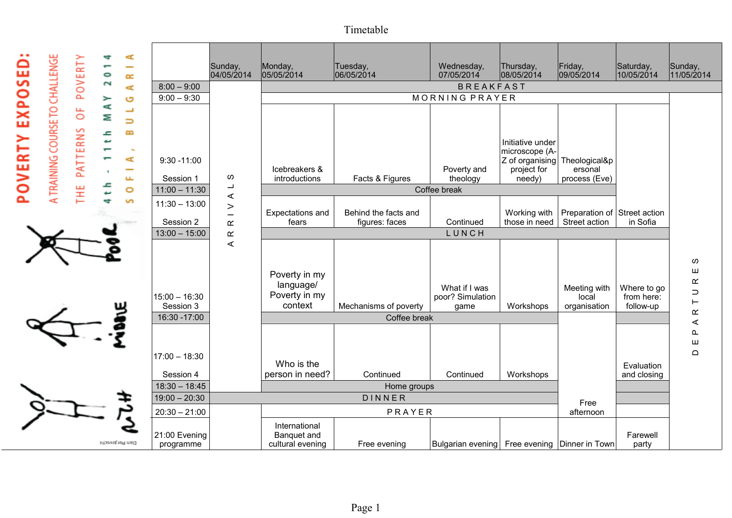Timetable



|                              | Sunday,<br>04/05/2014                        | Monday,<br>05/05/2014                                  | Tuesday,<br>06/05/2014                 | Wednesday,<br>07/05/2014                          | Thursday,<br>08/05/2014                                                            | Friday,<br>09/05/2014                         | Saturday,<br>10/05/2014                | Sunday,<br>11/05/2014              |
|------------------------------|----------------------------------------------|--------------------------------------------------------|----------------------------------------|---------------------------------------------------|------------------------------------------------------------------------------------|-----------------------------------------------|----------------------------------------|------------------------------------|
| $8:00 - 9:00$                |                                              | <b>BREAKFAST</b>                                       |                                        |                                                   |                                                                                    |                                               |                                        |                                    |
| $9:00 - 9:30$                |                                              | MORNING PRAYER                                         |                                        |                                                   |                                                                                    |                                               |                                        |                                    |
| $9:30 - 11:00$               |                                              | Icebreakers &                                          |                                        | Poverty and                                       | Initiative under<br>microscope (A-<br>Z of organising Theological&p<br>project for | ersonal                                       |                                        |                                    |
| Session 1                    | ၯ                                            | introductions                                          | Facts & Figures                        | theology                                          | needy)                                                                             | process (Eve)                                 |                                        |                                    |
| $11:00 - 11:30$              | $\overline{\phantom{a}}$                     | Coffee break                                           |                                        |                                                   |                                                                                    |                                               |                                        |                                    |
| $11:30 - 13:00$<br>Session 2 | $\prec$<br>$\,>$<br>$\overline{\phantom{0}}$ | Expectations and<br>fears                              | Behind the facts and<br>figures: faces | Continued                                         | Working with<br>those in need                                                      | Preparation of Street action<br>Street action | in Sofia                               |                                    |
| $13:00 - 15:00$              | $\underline{\alpha}$<br>$\propto$            |                                                        |                                        | LUNCH                                             |                                                                                    |                                               |                                        |                                    |
| $15:00 - 16:30$<br>Session 3 | $\prec$                                      | Poverty in my<br>language/<br>Poverty in my<br>context | Mechanisms of poverty                  | What if I was<br>poor? Simulation<br>game         | Workshops                                                                          | Meeting with<br>local<br>organisation         | Where to go<br>from here:<br>follow-up | w<br>ш<br>$\propto$<br>⊃<br>⊢<br>œ |
| 16:30 - 17:00                |                                              | Coffee break                                           |                                        |                                                   |                                                                                    |                                               |                                        | ⋖                                  |
| $17:00 - 18:30$              |                                              | Who is the                                             |                                        |                                                   |                                                                                    |                                               | Evaluation                             | ௳<br>ш<br>$\Omega$                 |
| Session 4                    |                                              | person in need?                                        | Continued                              | Continued                                         | Workshops                                                                          |                                               | and closing                            |                                    |
| $18:30 - 18:45$              |                                              |                                                        | Home groups                            |                                                   |                                                                                    |                                               |                                        |                                    |
| $19:00 - 20:30$              |                                              | DINNER                                                 |                                        |                                                   |                                                                                    | Free                                          |                                        |                                    |
| $20:30 - 21:00$              |                                              | PRAYER                                                 |                                        |                                                   |                                                                                    | afternoon                                     |                                        |                                    |
| 21:00 Evening<br>programme   |                                              | International<br>Banquet and<br>cultural evening       | Free evening                           | Bulgarian evening   Free evening   Dinner in Town |                                                                                    |                                               | Farewell<br>party                      |                                    |